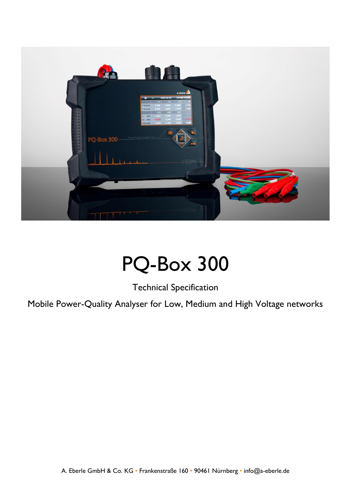

## PQ-Box 300

Technical Specification

Mobile Power-Quality Analyser for Low, Medium and High Voltage networks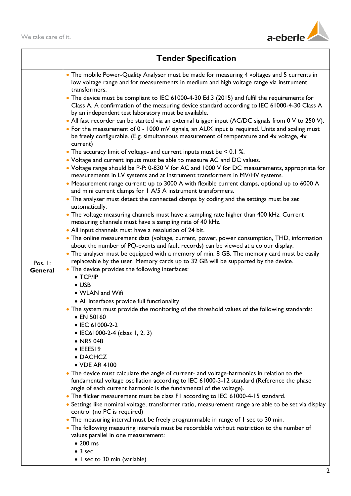

|                    | <b>Tender Specification</b>                                                                                                                                                                                                                                                                                                                                                                                                                                                                                                                               |
|--------------------|-----------------------------------------------------------------------------------------------------------------------------------------------------------------------------------------------------------------------------------------------------------------------------------------------------------------------------------------------------------------------------------------------------------------------------------------------------------------------------------------------------------------------------------------------------------|
|                    | • The mobile Power-Quality Analyser must be made for measuring 4 voltages and 5 currents in<br>low voltage range and for measurements in medium and high voltage range via instrument<br>transformers.                                                                                                                                                                                                                                                                                                                                                    |
|                    | • The device must be compliant to IEC 61000-4-30 Ed.3 (2015) and fulfil the requirements for<br>Class A. A confirmation of the measuring device standard according to IEC 61000-4-30 Class A<br>by an independent test laboratory must be available.<br>• All fast recorder can be started via an external trigger input (AC/DC signals from 0 V to 250 V).<br>• For the measurement of 0 - 1000 mV signals, an AUX input is required. Units and scaling must<br>be freely configurable. (E.g. simultaneous measurement of temperature and 4x voltage, 4x |
|                    | current)<br>• The accuracy limit of voltage- and current inputs must be $\leq 0,1\%$ .                                                                                                                                                                                                                                                                                                                                                                                                                                                                    |
|                    | • Voltage and current inputs must be able to measure AC and DC values.<br>• Voltage range should be P-P: 0-830 V for AC and 1000 V for DC measurements, appropriate for<br>measurements in LV systems and at instrument transformers in MV/HV systems.<br>• Measurement range current: up to 3000 A with flexible current clamps, optional up to 6000 A<br>and mini current clamps for 1 A/5 A instrument transformers.                                                                                                                                   |
|                    | • The analyser must detect the connected clamps by coding and the settings must be set<br>automatically.                                                                                                                                                                                                                                                                                                                                                                                                                                                  |
|                    | • The voltage measuring channels must have a sampling rate higher than 400 kHz. Current<br>measuring channels must have a sampling rate of 40 kHz.<br>• All input channels must have a resolution of 24 bit.                                                                                                                                                                                                                                                                                                                                              |
| Pos. I:<br>General | • The online measurement data (voltage, current, power, power consumption, THD, information<br>about the number of PQ-events and fault records) can be viewed at a colour display.<br>• The analyser must be equipped with a memory of min. 8 GB. The memory card must be easily<br>replaceable by the user. Memory cards up to 32 GB will be supported by the device.<br>• The device provides the following interfaces:                                                                                                                                 |
|                    | • TCP/IP<br>$\bullet$ USB                                                                                                                                                                                                                                                                                                                                                                                                                                                                                                                                 |
|                    | • WLAN and Wifi                                                                                                                                                                                                                                                                                                                                                                                                                                                                                                                                           |
|                    | • All interfaces provide full functionality<br>. The system must provide the monitoring of the threshold values of the following standards:                                                                                                                                                                                                                                                                                                                                                                                                               |
|                    | • EN 50160                                                                                                                                                                                                                                                                                                                                                                                                                                                                                                                                                |
|                    | • IEC 61000-2-2<br>• IEC61000-2-4 (class 1, 2, 3)                                                                                                                                                                                                                                                                                                                                                                                                                                                                                                         |
|                    | • NRS 048<br>$\bullet$ IEEE519                                                                                                                                                                                                                                                                                                                                                                                                                                                                                                                            |
|                    | • DACHCZ                                                                                                                                                                                                                                                                                                                                                                                                                                                                                                                                                  |
|                    | • VDE AR 4100                                                                                                                                                                                                                                                                                                                                                                                                                                                                                                                                             |
|                    | fundamental voltage oscillation according to IEC 61000-3-12 standard (Reference the phase<br>angle of each current harmonic is the fundamental of the voltage).                                                                                                                                                                                                                                                                                                                                                                                           |
|                    | • The flicker measurement must be class F1 according to IEC 61000-4-15 standard.                                                                                                                                                                                                                                                                                                                                                                                                                                                                          |
|                    | control (no PC is required)                                                                                                                                                                                                                                                                                                                                                                                                                                                                                                                               |
|                    | • The measuring interval must be freely programmable in range of I sec to 30 min.                                                                                                                                                                                                                                                                                                                                                                                                                                                                         |
|                    |                                                                                                                                                                                                                                                                                                                                                                                                                                                                                                                                                           |
|                    | • 200 ms                                                                                                                                                                                                                                                                                                                                                                                                                                                                                                                                                  |
|                    |                                                                                                                                                                                                                                                                                                                                                                                                                                                                                                                                                           |
|                    | • The device must calculate the angle of current- and voltage-harmonics in relation to the<br>• Settings like nominal voltage, transformer ratio, measurement range are able to be set via display<br>• The following measuring intervals must be recordable without restriction to the number of<br>values parallel in one measurement:<br>$\bullet$ 3 sec<br>• I sec to 30 min (variable)                                                                                                                                                               |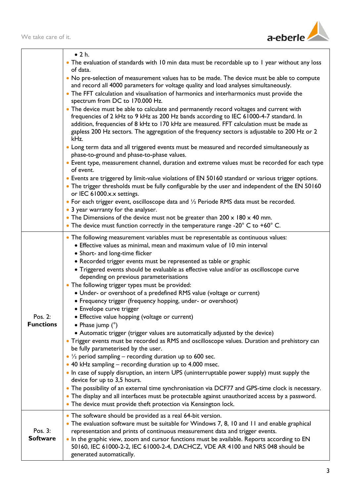

|                  | $\bullet$ 2 h.                                                                                                                                                                                                                                                                                                                                                                       |
|------------------|--------------------------------------------------------------------------------------------------------------------------------------------------------------------------------------------------------------------------------------------------------------------------------------------------------------------------------------------------------------------------------------|
|                  | • The evaluation of standards with 10 min data must be recordable up to 1 year without any loss<br>of data.                                                                                                                                                                                                                                                                          |
|                  | • No pre-selection of measurement values has to be made. The device must be able to compute<br>and record all 4000 parameters for voltage quality and load analyses simultaneously.<br>• The FFT calculation and visualisation of harmonics and interharmonics must provide the<br>spectrum from DC to 170.000 Hz.                                                                   |
|                  | • The device must be able to calculate and permanently record voltages and current with<br>frequencies of 2 kHz to 9 kHz as 200 Hz bands according to IEC 61000-4-7 standard. In<br>addition, frequencies of 8 kHz to 170 kHz are measured. FFT calculation must be made as<br>gapless 200 Hz sectors. The aggregation of the frequency sectors is adjustable to 200 Hz or 2<br>kHz. |
|                  | • Long term data and all triggered events must be measured and recorded simultaneously as<br>phase-to-ground and phase-to-phase values.                                                                                                                                                                                                                                              |
|                  | • Event type, measurement channel, duration and extreme values must be recorded for each type<br>of event.                                                                                                                                                                                                                                                                           |
|                  | • Events are triggered by limit-value violations of EN 50160 standard or various trigger options.<br>• The trigger thresholds must be fully configurable by the user and independent of the EN 50160<br>or IEC 61000.x.x settings.                                                                                                                                                   |
|                  | • For each trigger event, oscilloscope data and 1/2 Periode RMS data must be recorded.<br>• 3 year warranty for the analyser.                                                                                                                                                                                                                                                        |
|                  | • The Dimensions of the device must not be greater than $200 \times 180 \times 40$ mm.<br>• The device must function correctly in the temperature range -20 $^{\circ}$ C to +60 $^{\circ}$ C.                                                                                                                                                                                        |
|                  | • The following measurement variables must be representable as continuous values:                                                                                                                                                                                                                                                                                                    |
|                  | • Effective values as minimal, mean and maximum value of 10 min interval<br>• Short- and long-time flicker                                                                                                                                                                                                                                                                           |
|                  | • Recorded trigger events must be represented as table or graphic                                                                                                                                                                                                                                                                                                                    |
|                  | • Triggered events should be evaluable as effective value and/or as oscilloscope curve                                                                                                                                                                                                                                                                                               |
|                  | depending on previous parameterisations                                                                                                                                                                                                                                                                                                                                              |
|                  | • The following trigger types must be provided:                                                                                                                                                                                                                                                                                                                                      |
|                  | • Under- or overshoot of a predefined RMS value (voltage or current)                                                                                                                                                                                                                                                                                                                 |
|                  | • Frequency trigger (frequency hopping, under- or overshoot)                                                                                                                                                                                                                                                                                                                         |
|                  | • Envelope curve trigger                                                                                                                                                                                                                                                                                                                                                             |
| Pos. 2:          | • Effective value hopping (voltage or current)                                                                                                                                                                                                                                                                                                                                       |
| <b>Functions</b> | • Phase jump $(°)$                                                                                                                                                                                                                                                                                                                                                                   |
|                  | • Automatic trigger (trigger values are automatically adjusted by the device)                                                                                                                                                                                                                                                                                                        |
|                  | • Trigger events must be recorded as RMS and oscilloscope values. Duration and prehistory can<br>be fully parameterised by the user.                                                                                                                                                                                                                                                 |
|                  | • $\frac{1}{2}$ period sampling – recording duration up to 600 sec.                                                                                                                                                                                                                                                                                                                  |
|                  | • 40 kHz sampling - recording duration up to 4.000 msec.                                                                                                                                                                                                                                                                                                                             |
|                  | . In case of supply disruption, an intern UPS (uninterruptable power supply) must supply the                                                                                                                                                                                                                                                                                         |
|                  | device for up to 3,5 hours.                                                                                                                                                                                                                                                                                                                                                          |
|                  | • The possibility of an external time synchronisation via DCF77 and GPS-time clock is necessary.                                                                                                                                                                                                                                                                                     |
|                  | • The display and all interfaces must be protectable against unauthorized access by a password.<br>• The device must provide theft protection via Kensington lock.                                                                                                                                                                                                                   |
|                  | • The software should be provided as a real 64-bit version.                                                                                                                                                                                                                                                                                                                          |
| Pos. 3:          | • The evaluation software must be suitable for Windows 7, 8, 10 and 11 and enable graphical                                                                                                                                                                                                                                                                                          |
| <b>Software</b>  | representation and prints of continuous measurement data and trigger events.<br>• In the graphic view, zoom and cursor functions must be available. Reports according to EN                                                                                                                                                                                                          |
|                  | 50160, IEC 61000-2-2, IEC 61000-2-4, DACHCZ, VDE AR 4100 and NRS 048 should be<br>generated automatically.                                                                                                                                                                                                                                                                           |